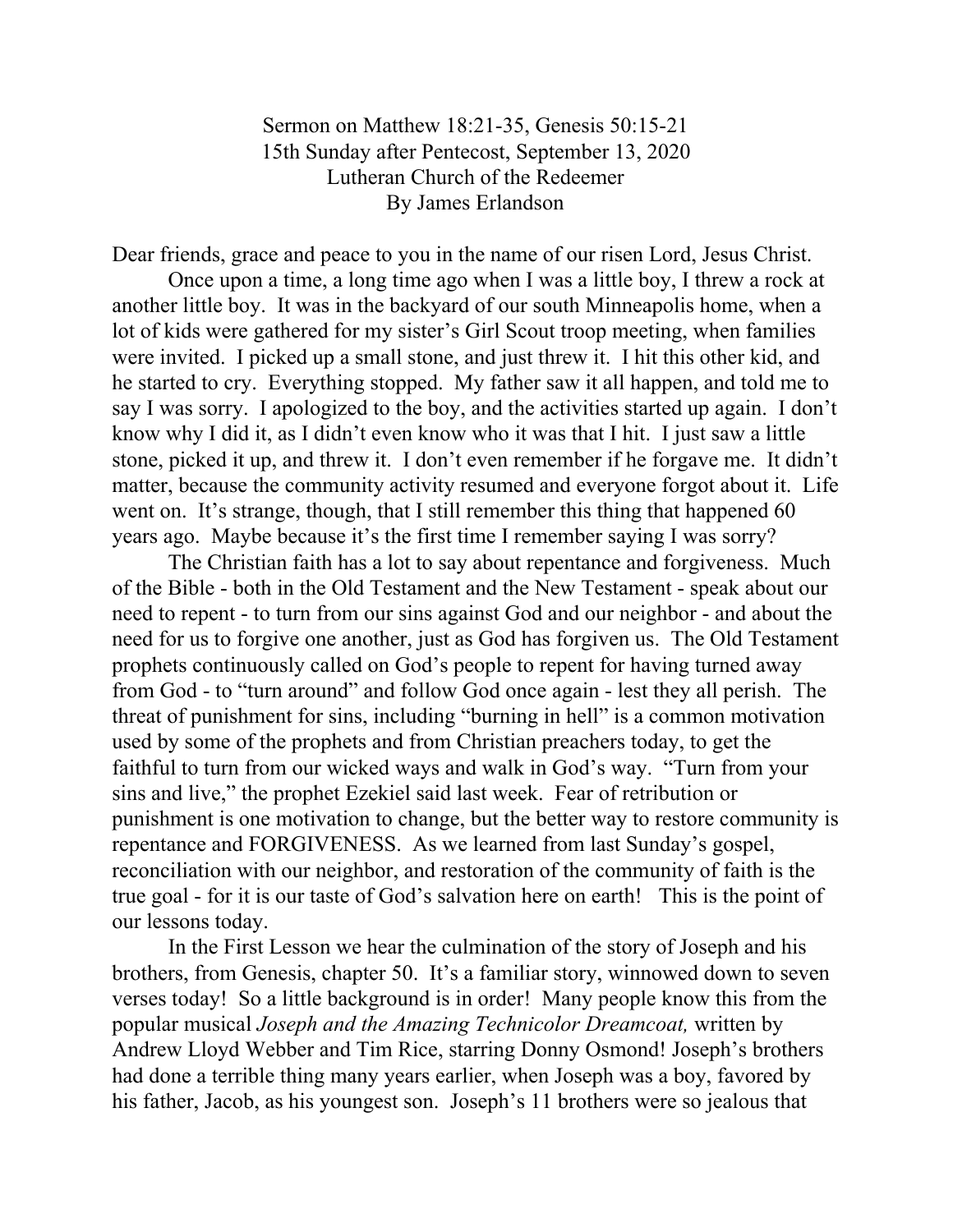Sermon on Matthew 18:21-35, Genesis 50:15-21 15th Sunday after Pentecost, September 13, 2020 Lutheran Church of the Redeemer By James Erlandson

Dear friends, grace and peace to you in the name of our risen Lord, Jesus Christ.

Once upon a time, a long time ago when I was a little boy, I threw a rock at another little boy. It was in the backyard of our south Minneapolis home, when a lot of kids were gathered for my sister's Girl Scout troop meeting, when families were invited. I picked up a small stone, and just threw it. I hit this other kid, and he started to cry. Everything stopped. My father saw it all happen, and told me to say I was sorry. I apologized to the boy, and the activities started up again. I don't know why I did it, as I didn't even know who it was that I hit. I just saw a little stone, picked it up, and threw it. I don't even remember if he forgave me. It didn't matter, because the community activity resumed and everyone forgot about it. Life went on. It's strange, though, that I still remember this thing that happened 60 years ago. Maybe because it's the first time I remember saying I was sorry?

The Christian faith has a lot to say about repentance and forgiveness. Much of the Bible - both in the Old Testament and the New Testament - speak about our need to repent - to turn from our sins against God and our neighbor - and about the need for us to forgive one another, just as God has forgiven us. The Old Testament prophets continuously called on God's people to repent for having turned away from God - to "turn around" and follow God once again - lest they all perish. The threat of punishment for sins, including "burning in hell" is a common motivation used by some of the prophets and from Christian preachers today, to get the faithful to turn from our wicked ways and walk in God's way. "Turn from your sins and live," the prophet Ezekiel said last week. Fear of retribution or punishment is one motivation to change, but the better way to restore community is repentance and FORGIVENESS. As we learned from last Sunday's gospel, reconciliation with our neighbor, and restoration of the community of faith is the true goal - for it is our taste of God's salvation here on earth! This is the point of our lessons today.

In the First Lesson we hear the culmination of the story of Joseph and his brothers, from Genesis, chapter 50. It's a familiar story, winnowed down to seven verses today! So a little background is in order! Many people know this from the popular musical *Joseph and the Amazing Technicolor Dreamcoat,* written by Andrew Lloyd Webber and Tim Rice, starring Donny Osmond! Joseph's brothers had done a terrible thing many years earlier, when Joseph was a boy, favored by his father, Jacob, as his youngest son. Joseph's 11 brothers were so jealous that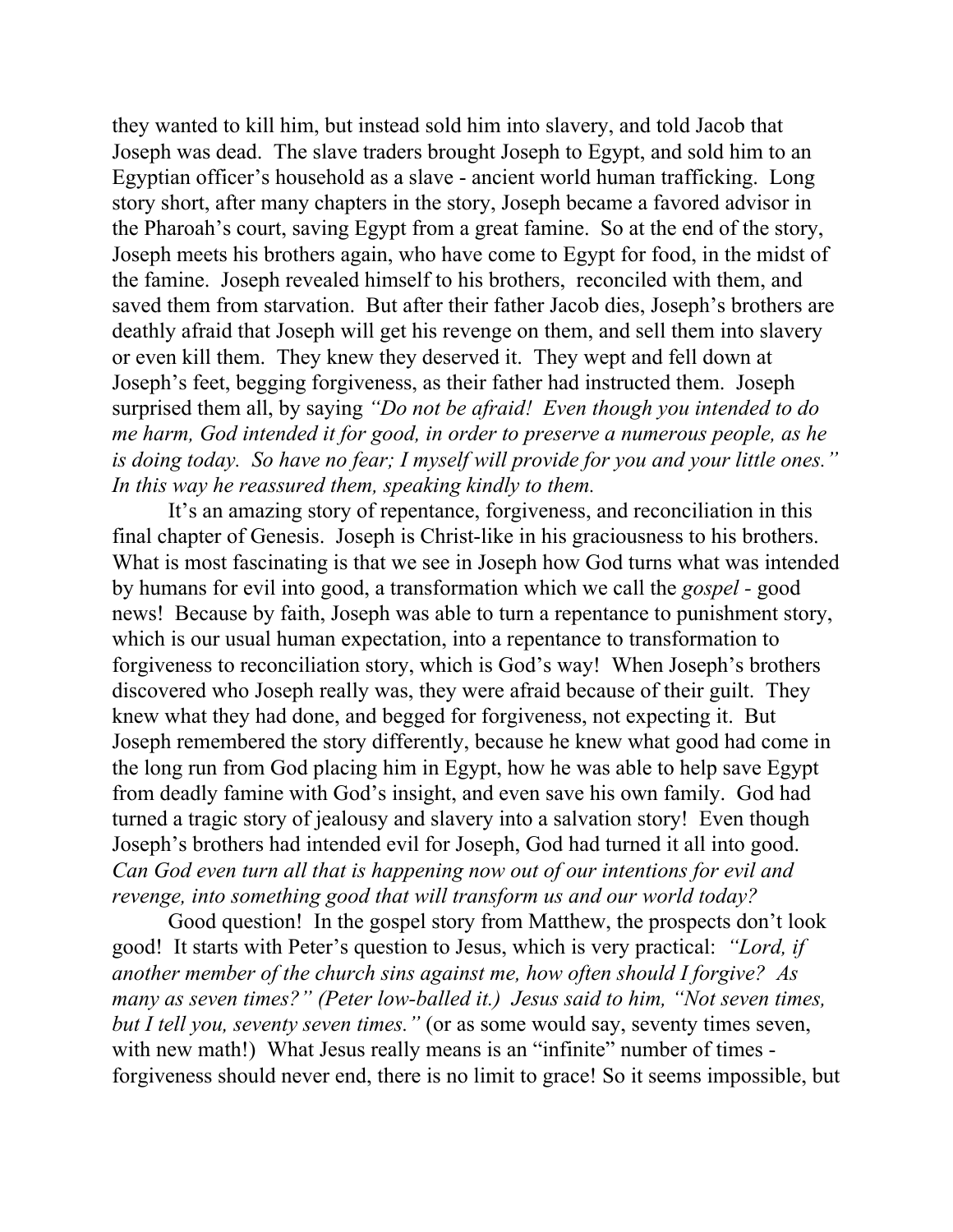they wanted to kill him, but instead sold him into slavery, and told Jacob that Joseph was dead. The slave traders brought Joseph to Egypt, and sold him to an Egyptian officer's household as a slave - ancient world human trafficking. Long story short, after many chapters in the story, Joseph became a favored advisor in the Pharoah's court, saving Egypt from a great famine. So at the end of the story, Joseph meets his brothers again, who have come to Egypt for food, in the midst of the famine. Joseph revealed himself to his brothers, reconciled with them, and saved them from starvation. But after their father Jacob dies, Joseph's brothers are deathly afraid that Joseph will get his revenge on them, and sell them into slavery or even kill them. They knew they deserved it. They wept and fell down at Joseph's feet, begging forgiveness, as their father had instructed them. Joseph surprised them all, by saying *"Do not be afraid! Even though you intended to do me harm, God intended it for good, in order to preserve a numerous people, as he is doing today. So have no fear; I myself will provide for you and your little ones." In this way he reassured them, speaking kindly to them.*

It's an amazing story of repentance, forgiveness, and reconciliation in this final chapter of Genesis. Joseph is Christ-like in his graciousness to his brothers. What is most fascinating is that we see in Joseph how God turns what was intended by humans for evil into good, a transformation which we call the *gospel -* good news! Because by faith, Joseph was able to turn a repentance to punishment story, which is our usual human expectation, into a repentance to transformation to forgiveness to reconciliation story, which is God's way! When Joseph's brothers discovered who Joseph really was, they were afraid because of their guilt. They knew what they had done, and begged for forgiveness, not expecting it. But Joseph remembered the story differently, because he knew what good had come in the long run from God placing him in Egypt, how he was able to help save Egypt from deadly famine with God's insight, and even save his own family. God had turned a tragic story of jealousy and slavery into a salvation story! Even though Joseph's brothers had intended evil for Joseph, God had turned it all into good. *Can God even turn all that is happening now out of our intentions for evil and revenge, into something good that will transform us and our world today?*

Good question! In the gospel story from Matthew, the prospects don't look good! It starts with Peter's question to Jesus, which is very practical: *"Lord, if another member of the church sins against me, how often should I forgive? As many as seven times?" (Peter low-balled it.) Jesus said to him, "Not seven times, but I tell you, seventy seven times."* (or as some would say, seventy times seven, with new math!) What Jesus really means is an "infinite" number of times forgiveness should never end, there is no limit to grace! So it seems impossible, but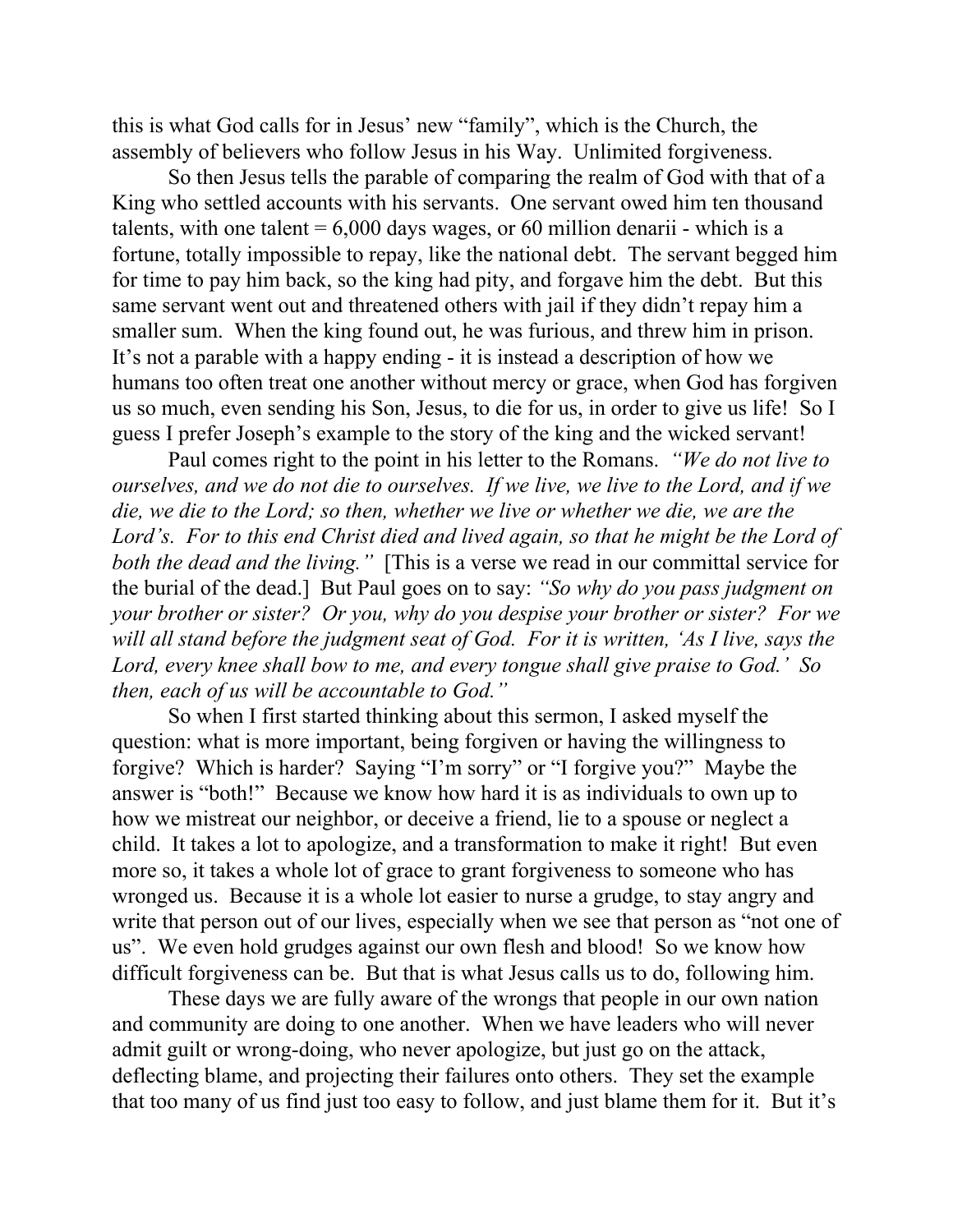this is what God calls for in Jesus' new "family", which is the Church, the assembly of believers who follow Jesus in his Way. Unlimited forgiveness.

So then Jesus tells the parable of comparing the realm of God with that of a King who settled accounts with his servants. One servant owed him ten thousand talents, with one talent  $= 6,000$  days wages, or 60 million denarii - which is a fortune, totally impossible to repay, like the national debt. The servant begged him for time to pay him back, so the king had pity, and forgave him the debt. But this same servant went out and threatened others with jail if they didn't repay him a smaller sum. When the king found out, he was furious, and threw him in prison. It's not a parable with a happy ending - it is instead a description of how we humans too often treat one another without mercy or grace, when God has forgiven us so much, even sending his Son, Jesus, to die for us, in order to give us life! So I guess I prefer Joseph's example to the story of the king and the wicked servant!

Paul comes right to the point in his letter to the Romans. *"We do not live to ourselves, and we do not die to ourselves. If we live, we live to the Lord, and if we die, we die to the Lord; so then, whether we live or whether we die, we are the Lord's. For to this end Christ died and lived again, so that he might be the Lord of both the dead and the living."* [This is a verse we read in our committal service for the burial of the dead.] But Paul goes on to say: *"So why do you pass judgment on your brother or sister? Or you, why do you despise your brother or sister? For we will all stand before the judgment seat of God. For it is written, 'As I live, says the Lord, every knee shall bow to me, and every tongue shall give praise to God.' So then, each of us will be accountable to God."*

So when I first started thinking about this sermon, I asked myself the question: what is more important, being forgiven or having the willingness to forgive? Which is harder? Saying "I'm sorry" or "I forgive you?" Maybe the answer is "both!" Because we know how hard it is as individuals to own up to how we mistreat our neighbor, or deceive a friend, lie to a spouse or neglect a child. It takes a lot to apologize, and a transformation to make it right! But even more so, it takes a whole lot of grace to grant forgiveness to someone who has wronged us. Because it is a whole lot easier to nurse a grudge, to stay angry and write that person out of our lives, especially when we see that person as "not one of us". We even hold grudges against our own flesh and blood! So we know how difficult forgiveness can be. But that is what Jesus calls us to do, following him.

These days we are fully aware of the wrongs that people in our own nation and community are doing to one another. When we have leaders who will never admit guilt or wrong-doing, who never apologize, but just go on the attack, deflecting blame, and projecting their failures onto others. They set the example that too many of us find just too easy to follow, and just blame them for it. But it's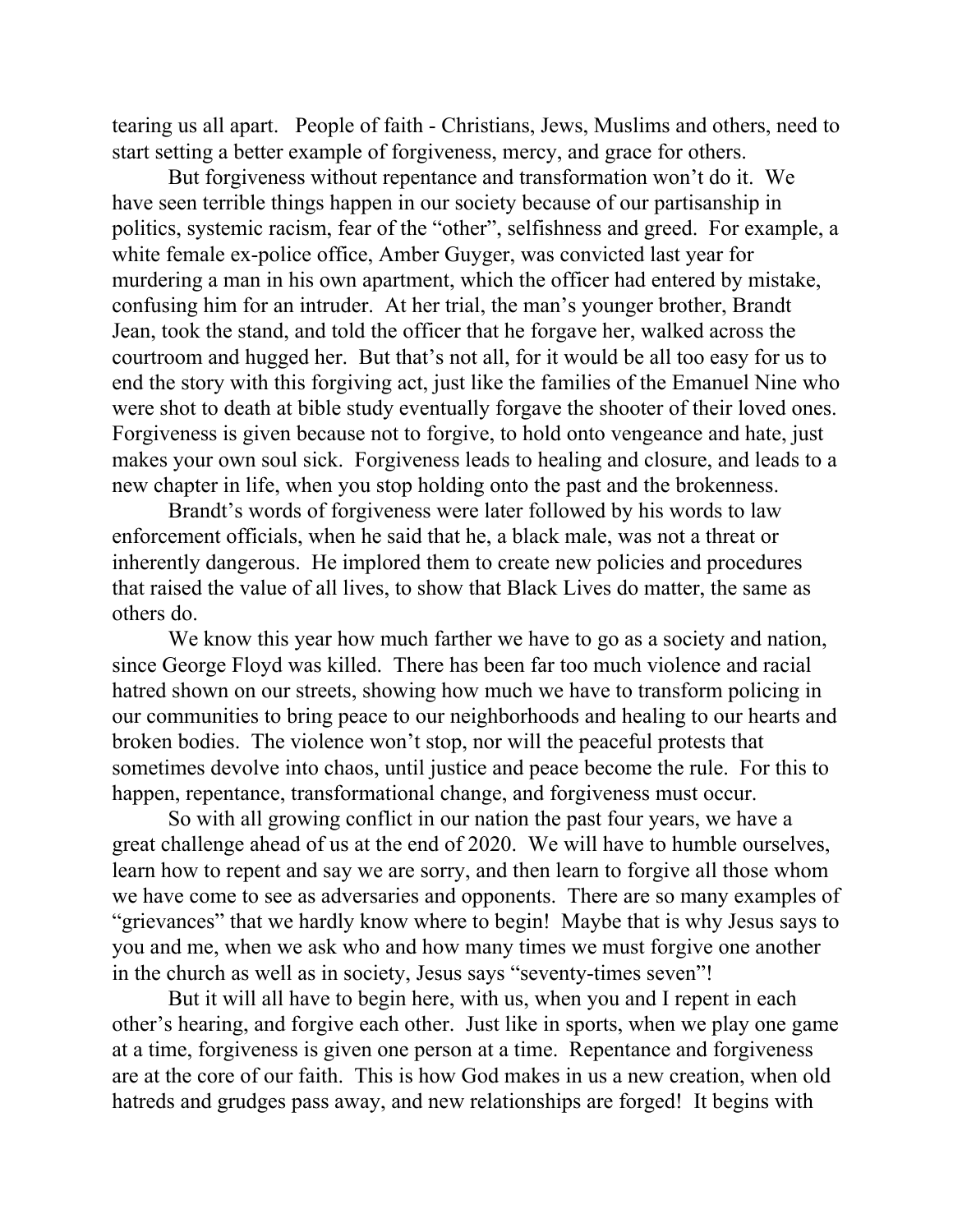tearing us all apart. People of faith - Christians, Jews, Muslims and others, need to start setting a better example of forgiveness, mercy, and grace for others.

But forgiveness without repentance and transformation won't do it. We have seen terrible things happen in our society because of our partisanship in politics, systemic racism, fear of the "other", selfishness and greed. For example, a white female ex-police office, Amber Guyger, was convicted last year for murdering a man in his own apartment, which the officer had entered by mistake, confusing him for an intruder. At her trial, the man's younger brother, Brandt Jean, took the stand, and told the officer that he forgave her, walked across the courtroom and hugged her. But that's not all, for it would be all too easy for us to end the story with this forgiving act, just like the families of the Emanuel Nine who were shot to death at bible study eventually forgave the shooter of their loved ones. Forgiveness is given because not to forgive, to hold onto vengeance and hate, just makes your own soul sick. Forgiveness leads to healing and closure, and leads to a new chapter in life, when you stop holding onto the past and the brokenness.

Brandt's words of forgiveness were later followed by his words to law enforcement officials, when he said that he, a black male, was not a threat or inherently dangerous. He implored them to create new policies and procedures that raised the value of all lives, to show that Black Lives do matter, the same as others do.

We know this year how much farther we have to go as a society and nation, since George Floyd was killed. There has been far too much violence and racial hatred shown on our streets, showing how much we have to transform policing in our communities to bring peace to our neighborhoods and healing to our hearts and broken bodies. The violence won't stop, nor will the peaceful protests that sometimes devolve into chaos, until justice and peace become the rule. For this to happen, repentance, transformational change, and forgiveness must occur.

So with all growing conflict in our nation the past four years, we have a great challenge ahead of us at the end of 2020. We will have to humble ourselves, learn how to repent and say we are sorry, and then learn to forgive all those whom we have come to see as adversaries and opponents. There are so many examples of "grievances" that we hardly know where to begin! Maybe that is why Jesus says to you and me, when we ask who and how many times we must forgive one another in the church as well as in society, Jesus says "seventy-times seven"!

But it will all have to begin here, with us, when you and I repent in each other's hearing, and forgive each other. Just like in sports, when we play one game at a time, forgiveness is given one person at a time. Repentance and forgiveness are at the core of our faith. This is how God makes in us a new creation, when old hatreds and grudges pass away, and new relationships are forged! It begins with